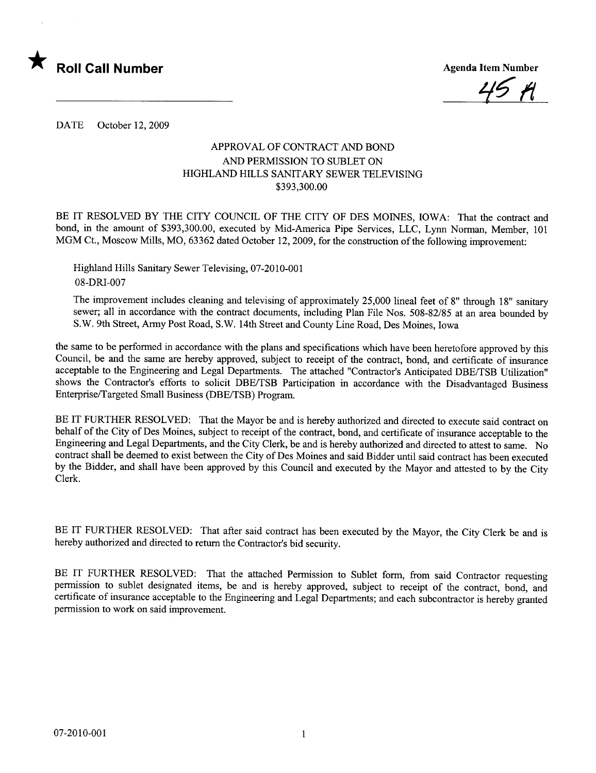

49 M

DATE October 12,2009

## APPROVAL OF CONTRACT AND BOND AND PERMISSION TO SUBLET ON HIGHLAND HILLS SANITARY SEWER TELEVISING \$393,300.00

BE IT RESOLVED BY THE CITY COUNCIL OF THE CITY OF DES MOINES, IOWA: That the contract and bond, in the amount of \$393,300.00, executed by Mid-America Pipe Services, LLC, Lynn Norman, Member, 101 MGM Ct., Moscow Mills, MO, 63362 dated October 12, 2009, for the construction of the following improvement:

Highland Hills Sanitary Sewer Televising, 07-2010-001 08-DRI-007

The improvement includes cleaning and televising of approximately 25,000 lineal feet of 8" through 18" sanitar sewer; all in accordance with the contract documents, including Plan File Nos. 508-82/85 at an area bounded by S.W. 9th Street, Army Post Road, S.W. 14th Street and County Line Road, Des Moines, Iowa

the same to be performed in accordance with the plans and specifications which have been heretofore approved by this Council, be and the same are hereby approved, subject to receipt of the contract, bond, and certificate of insurance acceptable to the Engineering and Legal Deparments. The attached "Contractor's Anticipated DBE/TSB Utilization" shows the Contractor's efforts to solicit DBE/TSB Participation in accordance with the Disadvantaged Business EnterpriselTargeted Small Business (DBE/TSB) Program.

BE IT FURTHER RESOLVED: That the Mayor be and is hereby authorized and directed to execute said contract on behalf of the City of Des Moines, subject to receipt of the contract, bond, and certificate of insurance acceptable to the Engineering and Legal Deparments, and the City Clerk, be and is hereby authorized and directed to attest to same. No contract shall be deemed to exist between the City of Des Moines and said Bidder until said contract has been executed by the Bidder, and shall have been approved by this Council and executed by the Mayor and attested to by the City Clerk.

BE IT FURTHER RESOLVED: That after said contract has been executed by the Mayor, the City Clerk be and is hereby authorized and directed to return the Contractor's bid security.

BE IT FURTHER RESOLVED: That the attached Permission to Sublet form, from said Contractor requesting permission to sublet designated items, be and is hereby approved, subject to receipt of the contract, bond, and certificate of insurance acceptable to the Engineering and Legal Deparments; and each subcontractor is hereby granted permission to work on said improvement.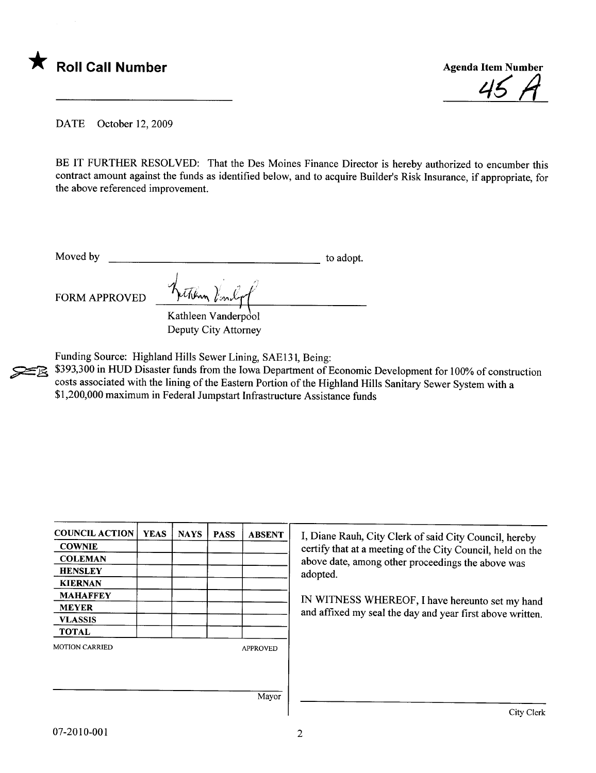



DATE October 12, 2009

BE IT FURTHER RESOLVED: That the Des Moines Finance Director is hereby authorized to encumber this contract amount against the funds as identified below, and to acquire Builder's Risk Insurance, if appropriate, for the above referenced improvement.

Moved by to adopt.

FORM APPROVED hetchen Vindorf

Kathleen Vanderpool Deputy City Attorney

Deputy City Attorney<br>Funding Source: Highland Hills Sewer Lining, SAE131, Being:<br>\$393,300 in HUD Disaster funds from the Iowa Department of l<br>costs associated with the lining of the Eastern Portion of the Hi \$393,300 in HUD Disaster funds from the Iowa Department of Economic Development for 100% of construction costs associated with the lining of the Eastern Portion of the Highland Hils Sanitary Sewer System with a \$1,200,000 maximum in Federal Jumpstart Infrastructure Assistance funds

| <b>COUNCIL ACTION</b>          | <b>YEAS</b> | <b>NAYS</b> | <b>PASS</b> | <b>ABSENT</b>   | I, Diane      |
|--------------------------------|-------------|-------------|-------------|-----------------|---------------|
| <b>COWNIE</b>                  |             |             |             |                 | certify t     |
| <b>COLEMAN</b>                 |             |             |             |                 | above da      |
| <b>HENSLEY</b>                 |             |             |             |                 | adopted       |
| <b>KIERNAN</b>                 |             |             |             |                 |               |
| <b>MAHAFFEY</b>                |             |             |             |                 | <b>IN WIT</b> |
| <b>MEYER</b><br><b>VLASSIS</b> |             |             |             |                 | and affix     |
|                                |             |             |             |                 |               |
| <b>MOTION CARRIED</b>          |             |             |             | <b>APPROVED</b> |               |
|                                |             |             |             |                 |               |
|                                |             |             |             |                 |               |
|                                |             |             |             | Mayor           |               |

I, Diane Rauh, City Clerk of said City Council, hereby certify that at a meeting of the City Council, held on the above date, among other proceedings the above was

IN WITNESS WHEREOF, I have hereunto set my hand and affixed my seal the day and year first above written.